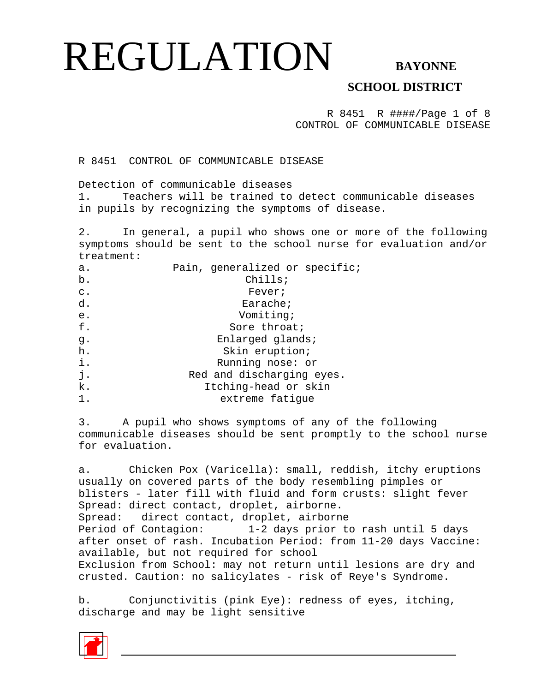### **SCHOOL DISTRICT**

R 8451 R ####/Page 1 of 8 CONTROL OF COMMUNICABLE DISEASE

R 8451 CONTROL OF COMMUNICABLE DISEASE

Detection of communicable diseases

1. Teachers will be trained to detect communicable diseases in pupils by recognizing the symptoms of disease.

2. In general, a pupil who shows one or more of the following symptoms should be sent to the school nurse for evaluation and/or treatment:

| a.             | Pain, generalized or specific; |
|----------------|--------------------------------|
| b.             | Chills;                        |
| $\mathsf{C}$ . | Fever;                         |
| d.             | Earache;                       |
| e.             | Vomiting;                      |
| f.             | Sore throat;                   |
| q.             | Enlarged glands;               |
| h.             | Skin eruption;                 |
| i.             | Running nose: or               |
| j.             | Red and discharging eyes.      |
| k.             | Itching-head or skin           |
| 1.             | extreme fatigue                |

3. A pupil who shows symptoms of any of the following communicable diseases should be sent promptly to the school nurse for evaluation.

a. Chicken Pox (Varicella): small, reddish, itchy eruptions usually on covered parts of the body resembling pimples or blisters - later fill with fluid and form crusts: slight fever Spread: direct contact, droplet, airborne. Spread: direct contact, droplet, airborne Period of Contagion: 1-2 days prior to rash until 5 days after onset of rash. Incubation Period: from 11-20 days Vaccine: available, but not required for school Exclusion from School: may not return until lesions are dry and crusted. Caution: no salicylates - risk of Reye's Syndrome.

b. Conjunctivitis (pink Eye): redness of eyes, itching, discharge and may be light sensitive

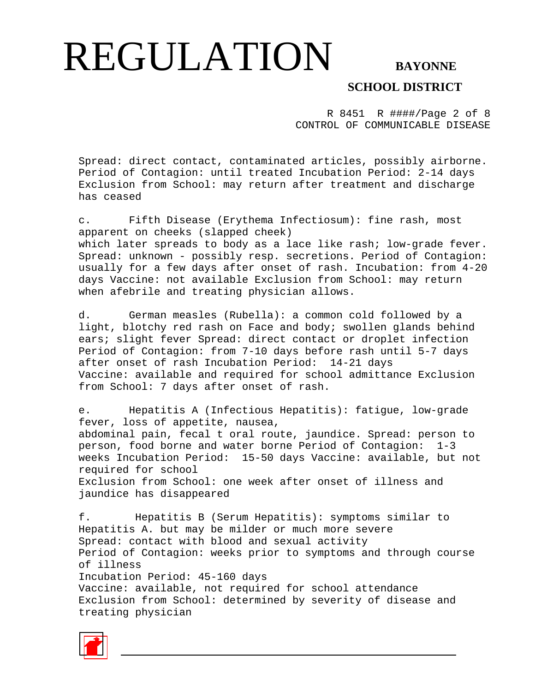### **SCHOOL DISTRICT**

R 8451 R ####/Page 2 of 8 CONTROL OF COMMUNICABLE DISEASE

Spread: direct contact, contaminated articles, possibly airborne. Period of Contagion: until treated Incubation Period: 2-14 days Exclusion from School: may return after treatment and discharge has ceased

c. Fifth Disease (Erythema Infectiosum): fine rash, most apparent on cheeks (slapped cheek) which later spreads to body as a lace like rash; low-grade fever. Spread: unknown - possibly resp. secretions. Period of Contagion: usually for a few days after onset of rash. Incubation: from 4-20 days Vaccine: not available Exclusion from School: may return when afebrile and treating physician allows.

d. German measles (Rubella): a common cold followed by a light, blotchy red rash on Face and body; swollen glands behind ears; slight fever Spread: direct contact or droplet infection Period of Contagion: from 7-10 days before rash until 5-7 days after onset of rash Incubation Period: 14-21 days Vaccine: available and required for school admittance Exclusion from School: 7 days after onset of rash.

e. Hepatitis A (Infectious Hepatitis): fatigue, low-grade fever, loss of appetite, nausea, abdominal pain, fecal t oral route, jaundice. Spread: person to person, food borne and water borne Period of Contagion: 1-3 weeks Incubation Period: 15-50 days Vaccine: available, but not required for school Exclusion from School: one week after onset of illness and jaundice has disappeared

f. Hepatitis B (Serum Hepatitis): symptoms similar to Hepatitis A. but may be milder or much more severe Spread: contact with blood and sexual activity Period of Contagion: weeks prior to symptoms and through course of illness Incubation Period: 45-160 days Vaccine: available, not required for school attendance Exclusion from School: determined by severity of disease and treating physician

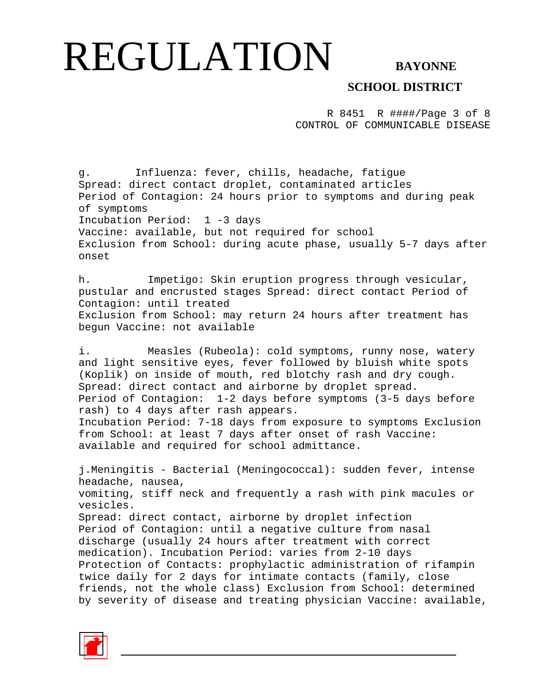### **SCHOOL DISTRICT**

R 8451 R ####/Page 3 of 8 CONTROL OF COMMUNICABLE DISEASE

g. Influenza: fever, chills, headache, fatigue Spread: direct contact droplet, contaminated articles Period of Contagion: 24 hours prior to symptoms and during peak of symptoms Incubation Period: 1 -3 days Vaccine: available, but not required for school Exclusion from School: during acute phase, usually 5-7 days after onset

h. Impetigo: Skin eruption progress through vesicular, pustular and encrusted stages Spread: direct contact Period of Contagion: until treated Exclusion from School: may return 24 hours after treatment has begun Vaccine: not available

i. Measles (Rubeola): cold symptoms, runny nose, watery and light sensitive eyes, fever followed by bluish white spots (Koplik) on inside of mouth, red blotchy rash and dry cough. Spread: direct contact and airborne by droplet spread. Period of Contagion: 1-2 days before symptoms (3-5 days before rash) to 4 days after rash appears. Incubation Period: 7-18 days from exposure to symptoms Exclusion from School: at least 7 days after onset of rash Vaccine: available and required for school admittance.

j.Meningitis - Bacterial (Meningococcal): sudden fever, intense headache, nausea, vomiting, stiff neck and frequently a rash with pink macules or vesicles. Spread: direct contact, airborne by droplet infection Period of Contagion: until a negative culture from nasal discharge (usually 24 hours after treatment with correct medication). Incubation Period: varies from 2-10 days Protection of Contacts: prophylactic administration of rifampin twice daily for 2 days for intimate contacts (family, close friends, not the whole class) Exclusion from School: determined by severity of disease and treating physician Vaccine: available,

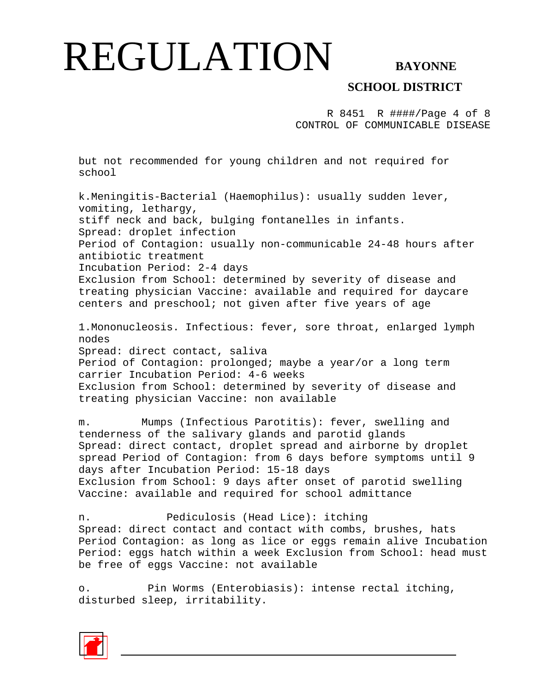### **SCHOOL DISTRICT**

R 8451 R ####/Page 4 of 8 CONTROL OF COMMUNICABLE DISEASE

but not recommended for young children and not required for school

k.Meningitis-Bacterial (Haemophilus): usually sudden lever, vomiting, lethargy, stiff neck and back, bulging fontanelles in infants. Spread: droplet infection Period of Contagion: usually non-communicable 24-48 hours after antibiotic treatment Incubation Period: 2-4 days Exclusion from School: determined by severity of disease and treating physician Vaccine: available and required for daycare centers and preschool; not given after five years of age 1.Mononucleosis. Infectious: fever, sore throat, enlarged lymph nodes Spread: direct contact, saliva Period of Contagion: prolonged; maybe a year/or a long term carrier Incubation Period: 4-6 weeks Exclusion from School: determined by severity of disease and treating physician Vaccine: non available

m. Mumps (Infectious Parotitis): fever, swelling and tenderness of the salivary glands and parotid glands Spread: direct contact, droplet spread and airborne by droplet spread Period of Contagion: from 6 days before symptoms until 9 days after Incubation Period: 15-18 days Exclusion from School: 9 days after onset of parotid swelling Vaccine: available and required for school admittance

n. Pediculosis (Head Lice): itching Spread: direct contact and contact with combs, brushes, hats Period Contagion: as long as lice or eggs remain alive Incubation Period: eggs hatch within a week Exclusion from School: head must be free of eggs Vaccine: not available

o. Pin Worms (Enterobiasis): intense rectal itching, disturbed sleep, irritability.

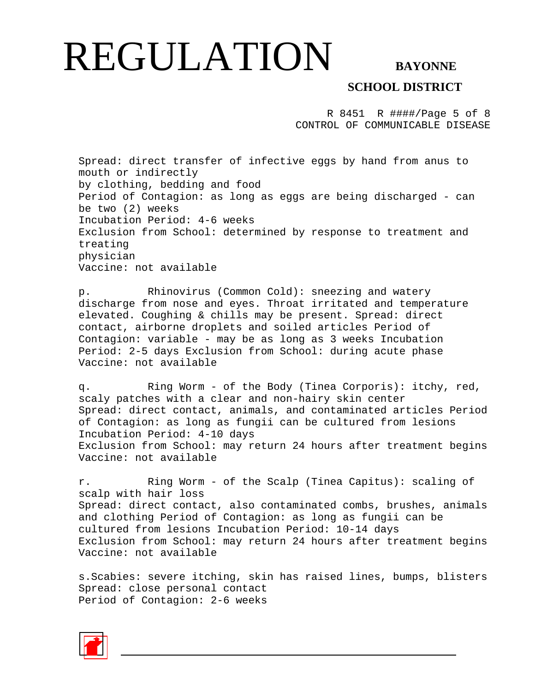**SCHOOL DISTRICT** 

R 8451 R ####/Page 5 of 8 CONTROL OF COMMUNICABLE DISEASE

Spread: direct transfer of infective eggs by hand from anus to mouth or indirectly by clothing, bedding and food Period of Contagion: as long as eggs are being discharged - can be two (2) weeks Incubation Period: 4-6 weeks Exclusion from School: determined by response to treatment and treating physician Vaccine: not available

p. Rhinovirus (Common Cold): sneezing and watery discharge from nose and eyes. Throat irritated and temperature elevated. Coughing & chills may be present. Spread: direct contact, airborne droplets and soiled articles Period of Contagion: variable - may be as long as 3 weeks Incubation Period: 2-5 days Exclusion from School: during acute phase Vaccine: not available

q. Ring Worm - of the Body (Tinea Corporis): itchy, red, scaly patches with a clear and non-hairy skin center Spread: direct contact, animals, and contaminated articles Period of Contagion: as long as fungii can be cultured from lesions Incubation Period: 4-10 days Exclusion from School: may return 24 hours after treatment begins Vaccine: not available

r. Ring Worm - of the Scalp (Tinea Capitus): scaling of scalp with hair loss Spread: direct contact, also contaminated combs, brushes, animals and clothing Period of Contagion: as long as fungii can be cultured from lesions Incubation Period: 10-14 days Exclusion from School: may return 24 hours after treatment begins Vaccine: not available

s.Scabies: severe itching, skin has raised lines, bumps, blisters Spread: close personal contact Period of Contagion: 2-6 weeks

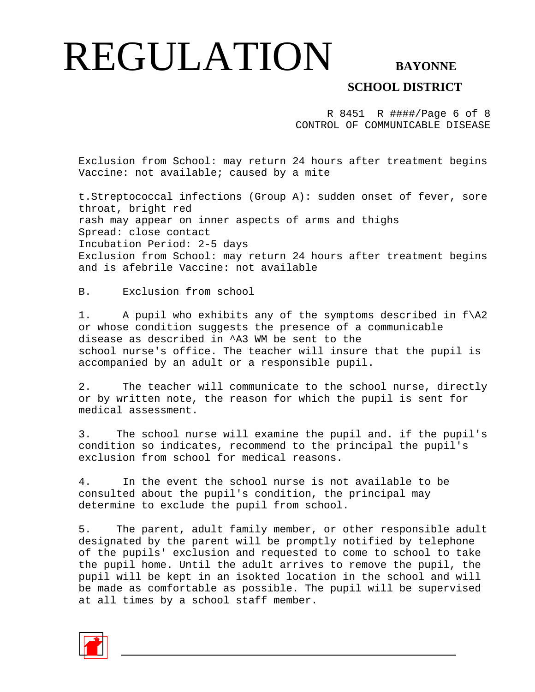### **SCHOOL DISTRICT**

R 8451 R ####/Page 6 of 8 CONTROL OF COMMUNICABLE DISEASE

Exclusion from School: may return 24 hours after treatment begins Vaccine: not available; caused by a mite

t.Streptococcal infections (Group A): sudden onset of fever, sore throat, bright red rash may appear on inner aspects of arms and thighs Spread: close contact Incubation Period: 2-5 days Exclusion from School: may return 24 hours after treatment begins and is afebrile Vaccine: not available

B. Exclusion from school

1. A pupil who exhibits any of the symptoms described in  $f\$ or whose condition suggests the presence of a communicable disease as described in ^A3 WM be sent to the school nurse's office. The teacher will insure that the pupil is accompanied by an adult or a responsible pupil.

2. The teacher will communicate to the school nurse, directly or by written note, the reason for which the pupil is sent for medical assessment.

3. The school nurse will examine the pupil and. if the pupil's condition so indicates, recommend to the principal the pupil's exclusion from school for medical reasons.

4. In the event the school nurse is not available to be consulted about the pupil's condition, the principal may determine to exclude the pupil from school.

5. The parent, adult family member, or other responsible adult designated by the parent will be promptly notified by telephone of the pupils' exclusion and requested to come to school to take the pupil home. Until the adult arrives to remove the pupil, the pupil will be kept in an isokted location in the school and will be made as comfortable as possible. The pupil will be supervised at all times by a school staff member.

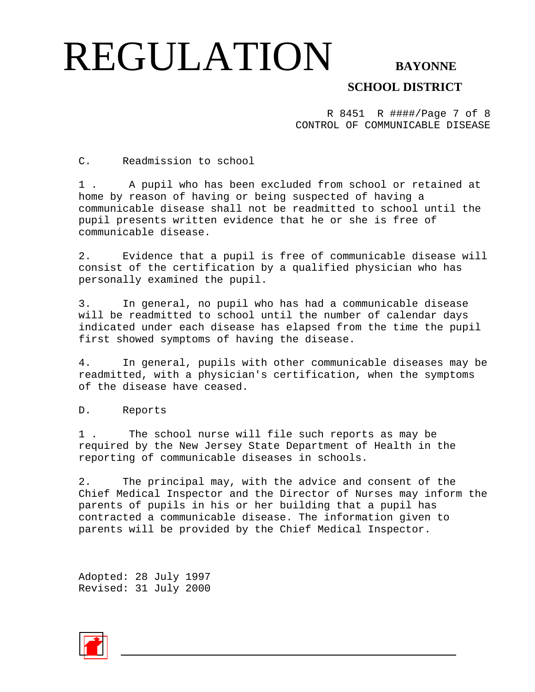**SCHOOL DISTRICT** 

R 8451 R ####/Page 7 of 8 CONTROL OF COMMUNICABLE DISEASE

C. Readmission to school

1 . A pupil who has been excluded from school or retained at home by reason of having or being suspected of having a communicable disease shall not be readmitted to school until the pupil presents written evidence that he or she is free of communicable disease.

2. Evidence that a pupil is free of communicable disease will consist of the certification by a qualified physician who has personally examined the pupil.

3. In general, no pupil who has had a communicable disease will be readmitted to school until the number of calendar days indicated under each disease has elapsed from the time the pupil first showed symptoms of having the disease.

4. In general, pupils with other communicable diseases may be readmitted, with a physician's certification, when the symptoms of the disease have ceased.

D. Reports

1 . The school nurse will file such reports as may be required by the New Jersey State Department of Health in the reporting of communicable diseases in schools.

2. The principal may, with the advice and consent of the Chief Medical Inspector and the Director of Nurses may inform the parents of pupils in his or her building that a pupil has contracted a communicable disease. The information given to parents will be provided by the Chief Medical Inspector.

Adopted: 28 July 1997 Revised: 31 July 2000